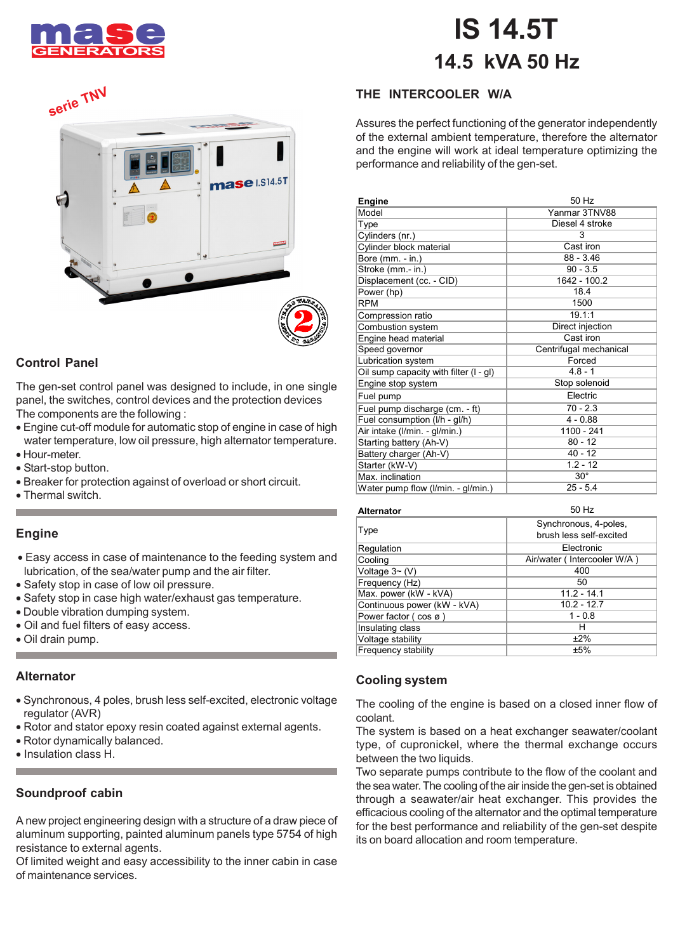

## se **IS 14.5T 14.5 kVA 50 Hz**





#### **Control Panel**

The gen-set control panel was designed to include, in one single panel, the switches, control devices and the protection devices The components are the following :

- Engine cut-off module for automatic stop of engine in case of high water temperature, low oil pressure, high alternator temperature. • Hour-meter.
- 
- Start-stop button.
- Breaker for protection against of overload or short circuit.
- Thermal switch.

#### **Engine**

- Easy access in case of maintenance to the feeding system and lubrication, of the sea/water pump and the air filter.
- Safety stop in case of low oil pressure.
- Safety stop in case high water/exhaust gas temperature.
- Double vibration dumping system.
- Oil and fuel filters of easy access.
- Oil drain pump.

#### **Alternator**

- Synchronous, 4 poles, brush less self-excited, electronic voltage regulator (AVR)
- Rotor and stator epoxy resin coated against external agents.
- Rotor dynamically balanced.
- Insulation class H.

#### **Soundproof cabin**

A new project engineering design with a structure of a draw piece of aluminum supporting, painted aluminum panels type 5754 of high resistance to external agents.

Of limited weight and easy accessibility to the inner cabin in case of maintenance services.

### **THE INTERCOOLER W/A**

Assures the perfect functioning of the generator independently of the external ambient temperature, therefore the alternator and the engine will work at ideal temperature optimizing the performance and reliability of the gen-set.

| Engine                                   | 50 Hz                  |
|------------------------------------------|------------------------|
| Model                                    | Yanmar 3TNV88          |
| Type                                     | Diesel 4 stroke        |
| Cylinders (nr.)                          | 3                      |
| Cylinder block material                  | Cast iron              |
| Bore (mm. - in.)                         | $88 - 3.46$            |
| Stroke (mm.- in.)                        | $90 - 3.5$             |
| Displacement (cc. - CID)                 | 1642 - 100.2           |
| Power (hp)                               | 18.4                   |
| <b>RPM</b>                               | 1500                   |
| Compression ratio                        | 19.1:1                 |
| Combustion system                        | Direct injection       |
| Engine head material                     | Cast iron              |
| Speed governor                           | Centrifugal mechanical |
| Lubrication system                       | Forced                 |
| Oil sump capacity with filter $(I - gl)$ | $4.8 - 1$              |
| Engine stop system                       | Stop solenoid          |
| Fuel pump                                | Electric               |
| Fuel pump discharge (cm. - ft)           | $70 - 2.3$             |
| Fuel consumption (I/h - gl/h)            | $4 - 0.88$             |
| Air intake (I/min. - gl/min.)            | 1100 - 241             |
| Starting battery (Ah-V)                  | $80 - 12$              |
| Battery charger (Ah-V)                   | $40 - 12$              |
| Starter (kW-V)                           | $1.2 - 12$             |
| Max. inclination                         | $30^\circ$             |
| Water pump flow (I/min. - gl/min.)       | $25 - 5.4$             |

| <b>Alternator</b>                 | 50 Hz                                            |
|-----------------------------------|--------------------------------------------------|
| Type                              | Synchronous, 4-poles,<br>brush less self-excited |
| Regulation                        | Electronic                                       |
| Cooling                           | Air/water (Intercooler W/A)                      |
| Voltage $3 \sim (V)$              | 400                                              |
| Frequency (Hz)                    | 50                                               |
| Max. power (kW - kVA)             | $11.2 - 14.1$                                    |
| Continuous power (kW - kVA)       | $10.2 - 12.7$                                    |
| Power factor $(\cos \varnothing)$ | $1 - 0.8$                                        |
| Insulating class                  | н                                                |
| Voltage stability                 | ±2%                                              |
| Frequency stability               | ±5%                                              |

#### **Cooling system**

The cooling of the engine is based on a closed inner flow of coolant.

The system is based on a heat exchanger seawater/coolant type, of cupronickel, where the thermal exchange occurs between the two liquids.

Two separate pumps contribute to the flow of the coolant and the sea water. The cooling of the air inside the gen-set is obtained through a seawater/air heat exchanger. This provides the efficacious cooling of the alternator and the optimal temperature for the best performance and reliability of the gen-set despite its on board allocation and room temperature.